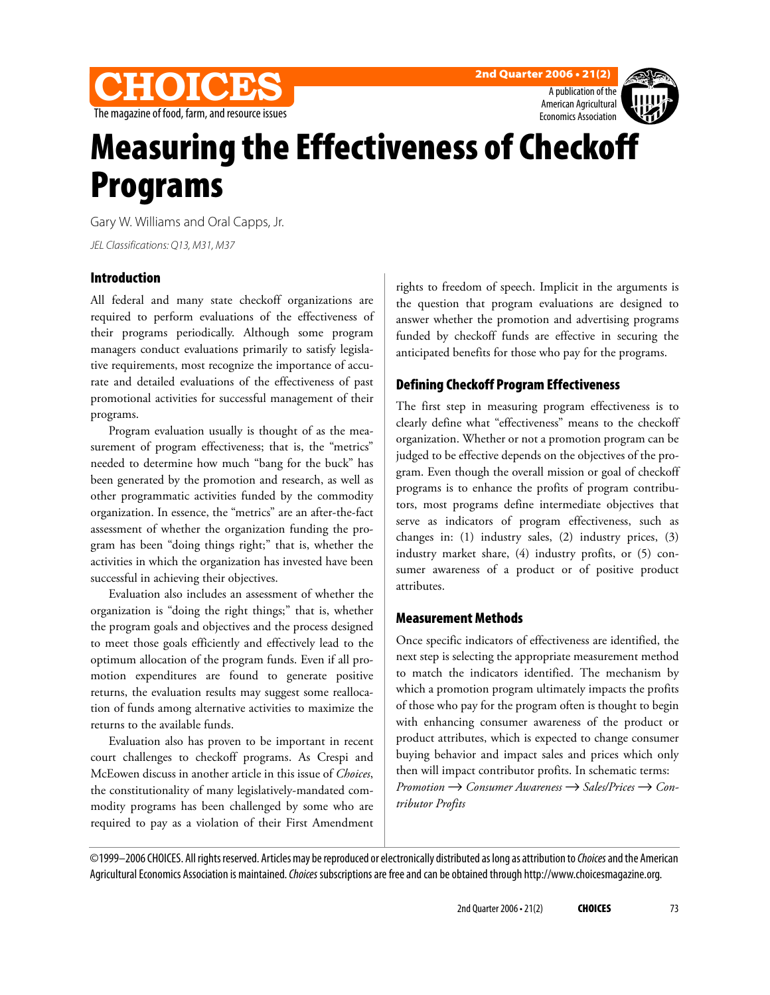

**2nd Quarter 2006 • 21(2)**



# **Measuring the Effectiveness of Checkoff Programs**

Gary W. Williams and Oral Capps, Jr.

JEL Classifications: Q13, M31, M37

#### **Introduction**

All federal and many state checkoff organizations are required to perform evaluations of the effectiveness of their programs periodically. Although some program managers conduct evaluations primarily to satisfy legislative requirements, most recognize the importance of accurate and detailed evaluations of the effectiveness of past promotional activities for successful management of their programs.

Program evaluation usually is thought of as the measurement of program effectiveness; that is, the "metrics" needed to determine how much "bang for the buck" has been generated by the promotion and research, as well as other programmatic activities funded by the commodity organization. In essence, the "metrics" are an after-the-fact assessment of whether the organization funding the program has been "doing things right;" that is, whether the activities in which the organization has invested have been successful in achieving their objectives.

Evaluation also includes an assessment of whether the organization is "doing the right things;" that is, whether the program goals and objectives and the process designed to meet those goals efficiently and effectively lead to the optimum allocation of the program funds. Even if all promotion expenditures are found to generate positive returns, the evaluation results may suggest some reallocation of funds among alternative activities to maximize the returns to the available funds.

Evaluation also has proven to be important in recent court challenges to checkoff programs. As Crespi and McEowen discuss in another article in this issue of *Choices*, the constitutionality of many legislatively-mandated commodity programs has been challenged by some who are required to pay as a violation of their First Amendment

rights to freedom of speech. Implicit in the arguments is the question that program evaluations are designed to answer whether the promotion and advertising programs funded by checkoff funds are effective in securing the anticipated benefits for those who pay for the programs.

# **Defining Checkoff Program Effectiveness**

The first step in measuring program effectiveness is to clearly define what "effectiveness" means to the checkoff organization. Whether or not a promotion program can be judged to be effective depends on the objectives of the program. Even though the overall mission or goal of checkoff programs is to enhance the profits of program contributors, most programs define intermediate objectives that serve as indicators of program effectiveness, such as changes in: (1) industry sales, (2) industry prices, (3) industry market share, (4) industry profits, or (5) consumer awareness of a product or of positive product attributes.

## **Measurement Methods**

Once specific indicators of effectiveness are identified, the next step is selecting the appropriate measurement method to match the indicators identified. The mechanism by which a promotion program ultimately impacts the profits of those who pay for the program often is thought to begin with enhancing consumer awareness of the product or product attributes, which is expected to change consumer buying behavior and impact sales and prices which only then will impact contributor profits. In schematic terms: *Promotion* → *Consumer Awareness* → *Sales/Prices* → *Contributor Profits*

©1999-2006 CHOICES. All rights reserved. Articles may be reproduced or electronically distributed as long as attribution to Choices and the American Agricultural Economics Association is maintained. Choices subscriptions are free and can be obtained through http://www.choicesmagazine.org.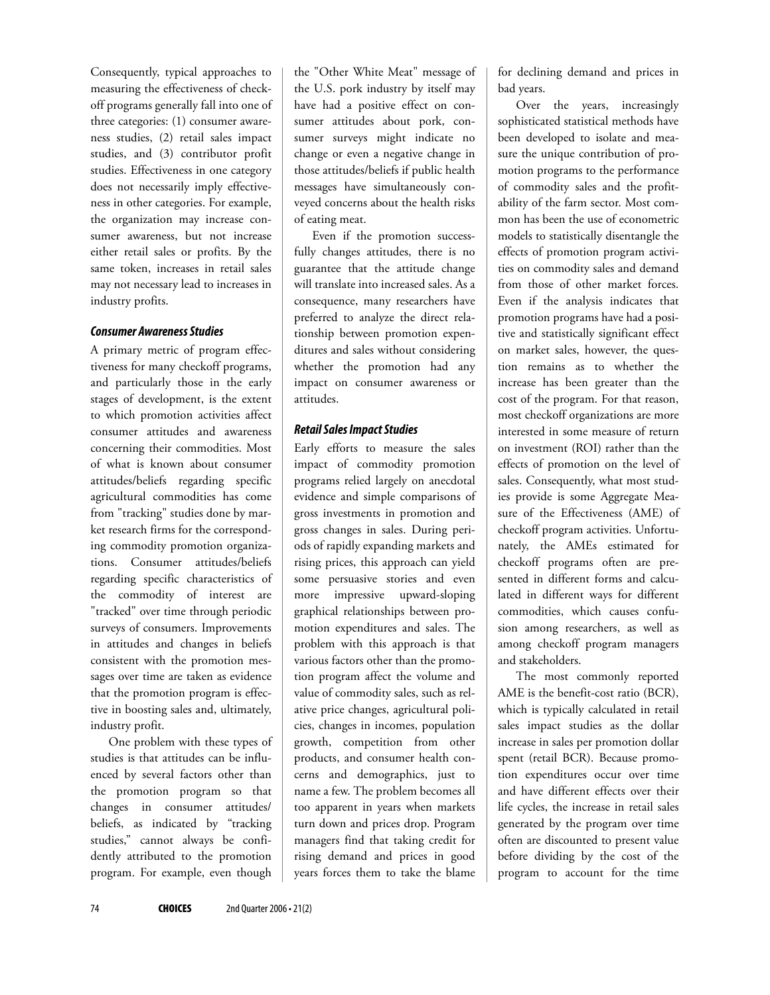Consequently, typical approaches to measuring the effectiveness of checkoff programs generally fall into one of three categories: (1) consumer awareness studies, (2) retail sales impact studies, and (3) contributor profit studies. Effectiveness in one category does not necessarily imply effectiveness in other categories. For example, the organization may increase consumer awareness, but not increase either retail sales or profits. By the same token, increases in retail sales may not necessary lead to increases in industry profits.

#### *Consumer Awareness Studies*

A primary metric of program effectiveness for many checkoff programs, and particularly those in the early stages of development, is the extent to which promotion activities affect consumer attitudes and awareness concerning their commodities. Most of what is known about consumer attitudes/beliefs regarding specific agricultural commodities has come from "tracking" studies done by market research firms for the corresponding commodity promotion organizations. Consumer attitudes/beliefs regarding specific characteristics of the commodity of interest are "tracked" over time through periodic surveys of consumers. Improvements in attitudes and changes in beliefs consistent with the promotion messages over time are taken as evidence that the promotion program is effective in boosting sales and, ultimately, industry profit.

One problem with these types of studies is that attitudes can be influenced by several factors other than the promotion program so that changes in consumer attitudes/ beliefs, as indicated by "tracking studies," cannot always be confidently attributed to the promotion program. For example, even though

the "Other White Meat" message of the U.S. pork industry by itself may have had a positive effect on consumer attitudes about pork, consumer surveys might indicate no change or even a negative change in those attitudes/beliefs if public health messages have simultaneously conveyed concerns about the health risks of eating meat.

Even if the promotion successfully changes attitudes, there is no guarantee that the attitude change will translate into increased sales. As a consequence, many researchers have preferred to analyze the direct relationship between promotion expenditures and sales without considering whether the promotion had any impact on consumer awareness or attitudes.

#### *Retail Sales Impact Studies*

Early efforts to measure the sales impact of commodity promotion programs relied largely on anecdotal evidence and simple comparisons of gross investments in promotion and gross changes in sales. During periods of rapidly expanding markets and rising prices, this approach can yield some persuasive stories and even more impressive upward-sloping graphical relationships between promotion expenditures and sales. The problem with this approach is that various factors other than the promotion program affect the volume and value of commodity sales, such as relative price changes, agricultural policies, changes in incomes, population growth, competition from other products, and consumer health concerns and demographics, just to name a few. The problem becomes all too apparent in years when markets turn down and prices drop. Program managers find that taking credit for rising demand and prices in good years forces them to take the blame

for declining demand and prices in bad years.

Over the years, increasingly sophisticated statistical methods have been developed to isolate and measure the unique contribution of promotion programs to the performance of commodity sales and the profitability of the farm sector. Most common has been the use of econometric models to statistically disentangle the effects of promotion program activities on commodity sales and demand from those of other market forces. Even if the analysis indicates that promotion programs have had a positive and statistically significant effect on market sales, however, the question remains as to whether the increase has been greater than the cost of the program. For that reason, most checkoff organizations are more interested in some measure of return on investment (ROI) rather than the effects of promotion on the level of sales. Consequently, what most studies provide is some Aggregate Measure of the Effectiveness (AME) of checkoff program activities. Unfortunately, the AMEs estimated for checkoff programs often are presented in different forms and calculated in different ways for different commodities, which causes confusion among researchers, as well as among checkoff program managers and stakeholders.

The most commonly reported AME is the benefit-cost ratio (BCR), which is typically calculated in retail sales impact studies as the dollar increase in sales per promotion dollar spent (retail BCR). Because promotion expenditures occur over time and have different effects over their life cycles, the increase in retail sales generated by the program over time often are discounted to present value before dividing by the cost of the program to account for the time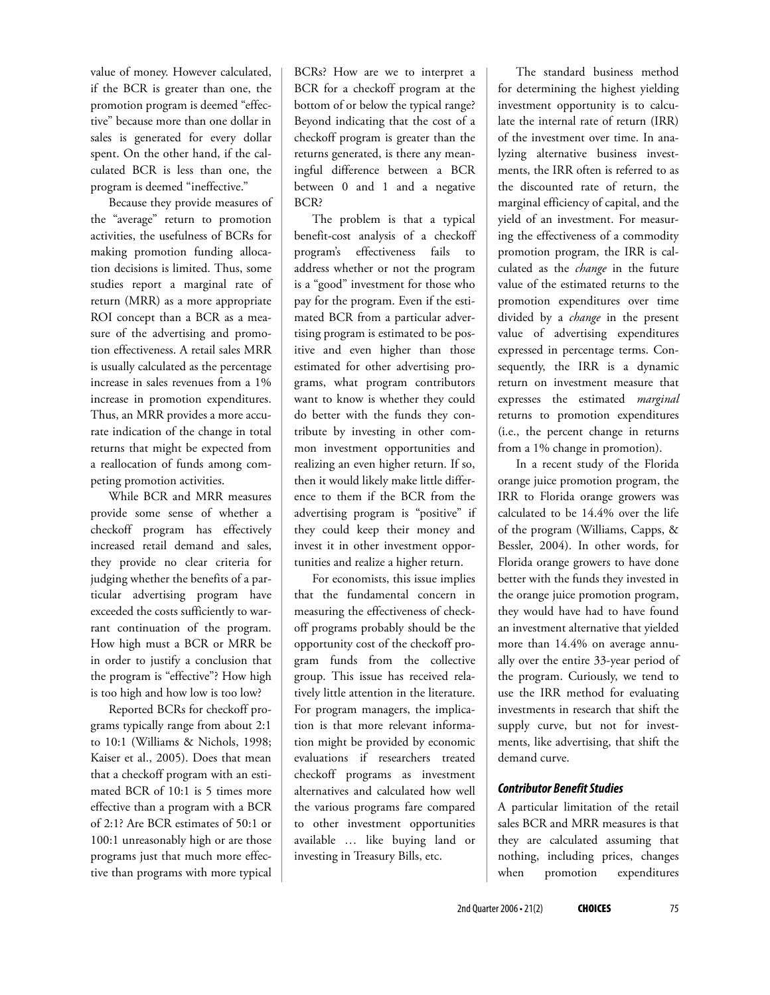value of money. However calculated, if the BCR is greater than one, the promotion program is deemed "effective" because more than one dollar in sales is generated for every dollar spent. On the other hand, if the calculated BCR is less than one, the program is deemed "ineffective."

Because they provide measures of the "average" return to promotion activities, the usefulness of BCRs for making promotion funding allocation decisions is limited. Thus, some studies report a marginal rate of return (MRR) as a more appropriate ROI concept than a BCR as a measure of the advertising and promotion effectiveness. A retail sales MRR is usually calculated as the percentage increase in sales revenues from a 1% increase in promotion expenditures. Thus, an MRR provides a more accurate indication of the change in total returns that might be expected from a reallocation of funds among competing promotion activities.

While BCR and MRR measures provide some sense of whether a checkoff program has effectively increased retail demand and sales, they provide no clear criteria for judging whether the benefits of a particular advertising program have exceeded the costs sufficiently to warrant continuation of the program. How high must a BCR or MRR be in order to justify a conclusion that the program is "effective"? How high is too high and how low is too low?

Reported BCRs for checkoff programs typically range from about 2:1 to 10:1 (Williams & Nichols, 1998; Kaiser et al., 2005). Does that mean that a checkoff program with an estimated BCR of 10:1 is 5 times more effective than a program with a BCR of 2:1? Are BCR estimates of 50:1 or 100:1 unreasonably high or are those programs just that much more effective than programs with more typical

BCRs? How are we to interpret a BCR for a checkoff program at the bottom of or below the typical range? Beyond indicating that the cost of a checkoff program is greater than the returns generated, is there any meaningful difference between a BCR between 0 and 1 and a negative BCR?

The problem is that a typical benefit-cost analysis of a checkoff program's effectiveness fails to address whether or not the program is a "good" investment for those who pay for the program. Even if the estimated BCR from a particular advertising program is estimated to be positive and even higher than those estimated for other advertising programs, what program contributors want to know is whether they could do better with the funds they contribute by investing in other common investment opportunities and realizing an even higher return. If so, then it would likely make little difference to them if the BCR from the advertising program is "positive" if they could keep their money and invest it in other investment opportunities and realize a higher return.

For economists, this issue implies that the fundamental concern in measuring the effectiveness of checkoff programs probably should be the opportunity cost of the checkoff program funds from the collective group. This issue has received relatively little attention in the literature. For program managers, the implication is that more relevant information might be provided by economic evaluations if researchers treated checkoff programs as investment alternatives and calculated how well the various programs fare compared to other investment opportunities available … like buying land or investing in Treasury Bills, etc.

The standard business method for determining the highest yielding investment opportunity is to calculate the internal rate of return (IRR) of the investment over time. In analyzing alternative business investments, the IRR often is referred to as the discounted rate of return, the marginal efficiency of capital, and the yield of an investment. For measuring the effectiveness of a commodity promotion program, the IRR is calculated as the *change* in the future value of the estimated returns to the promotion expenditures over time divided by a *change* in the present value of advertising expenditures expressed in percentage terms. Consequently, the IRR is a dynamic return on investment measure that expresses the estimated *marginal* returns to promotion expenditures (i.e., the percent change in returns from a 1% change in promotion).

In a recent study of the Florida orange juice promotion program, the IRR to Florida orange growers was calculated to be 14.4% over the life of the program (Williams, Capps, & Bessler, 2004). In other words, for Florida orange growers to have done better with the funds they invested in the orange juice promotion program, they would have had to have found an investment alternative that yielded more than 14.4% on average annually over the entire 33-year period of the program. Curiously, we tend to use the IRR method for evaluating investments in research that shift the supply curve, but not for investments, like advertising, that shift the demand curve.

#### *Contributor Benefit Studies*

A particular limitation of the retail sales BCR and MRR measures is that they are calculated assuming that nothing, including prices, changes when promotion expenditures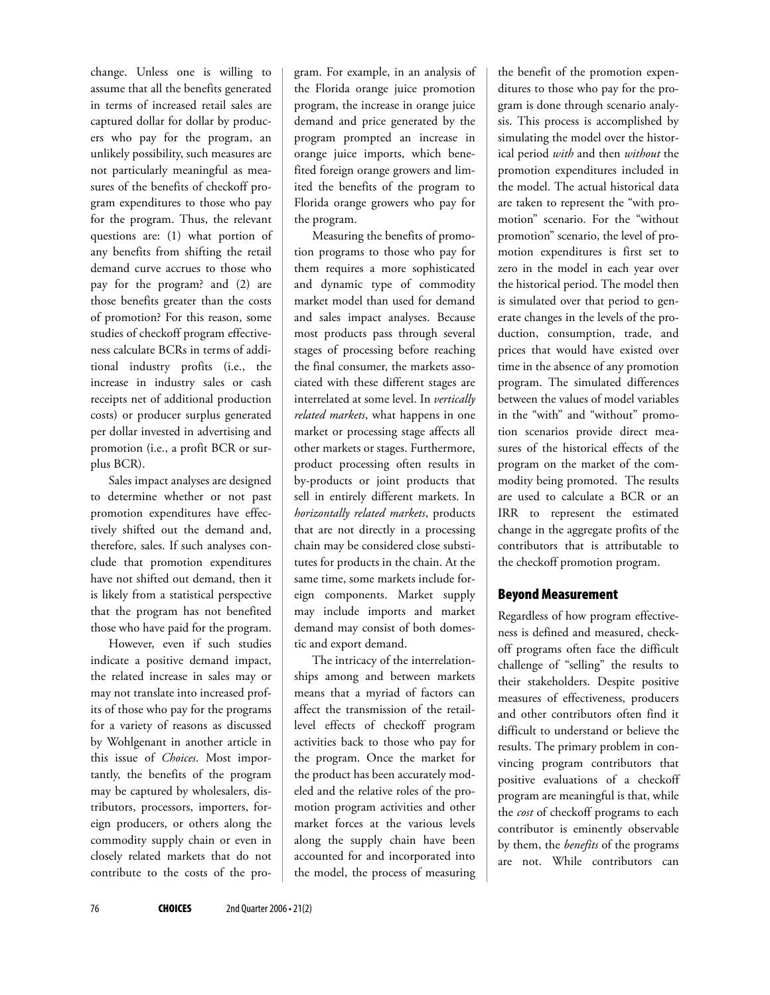change. Unless one is willing to assume that all the benefits generated in terms of increased retail sales are captured dollar for dollar by producers who pay for the program, an unlikely possibility, such measures are not particularly meaningful as measures of the benefits of checkoff program expenditures to those who pay for the program. Thus, the relevant questions are: (1) what portion of any benefits from shifting the retail demand curve accrues to those who pay for the program? and (2) are those benefits greater than the costs of promotion? For this reason, some studies of checkoff program effectiveness calculate BCRs in terms of additional industry profits (i.e., the increase in industry sales or cash receipts net of additional production costs) or producer surplus generated per dollar invested in advertising and promotion (i.e., a profit BCR or surplus BCR).

Sales impact analyses are designed to determine whether or not past promotion expenditures have effectively shifted out the demand and, therefore, sales. If such analyses conclude that promotion expenditures have not shifted out demand, then it is likely from a statistical perspective that the program has not benefited those who have paid for the program.

However, even if such studies indicate a positive demand impact, the related increase in sales may or may not translate into increased profits of those who pay for the programs for a variety of reasons as discussed by Wohlgenant in another article in this issue of *Choices*. Most importantly, the benefits of the program may be captured by wholesalers, distributors, processors, importers, foreign producers, or others along the commodity supply chain or even in closely related markets that do not contribute to the costs of the program. For example, in an analysis of the Florida orange juice promotion program, the increase in orange juice demand and price generated by the program prompted an increase in orange juice imports, which benefited foreign orange growers and limited the benefits of the program to Florida orange growers who pay for the program.

Measuring the benefits of promotion programs to those who pay for them requires a more sophisticated and dynamic type of commodity market model than used for demand and sales impact analyses. Because most products pass through several stages of processing before reaching the final consumer, the markets associated with these different stages are interrelated at some level. In *vertically related markets*, what happens in one market or processing stage affects all other markets or stages. Furthermore, product processing often results in by-products or joint products that sell in entirely different markets. In *horizontally related markets*, products that are not directly in a processing chain may be considered close substitutes for products in the chain. At the same time, some markets include foreign components. Market supply may include imports and market demand may consist of both domestic and export demand.

The intricacy of the interrelationships among and between markets means that a myriad of factors can affect the transmission of the retaillevel effects of checkoff program activities back to those who pay for the program. Once the market for the product has been accurately modeled and the relative roles of the promotion program activities and other market forces at the various levels along the supply chain have been accounted for and incorporated into the model, the process of measuring the benefit of the promotion expenditures to those who pay for the program is done through scenario analysis. This process is accomplished by simulating the model over the historical period *with* and then *without* the promotion expenditures included in the model. The actual historical data are taken to represent the "with promotion" scenario. For the "without promotion" scenario, the level of promotion expenditures is first set to zero in the model in each year over the historical period. The model then is simulated over that period to generate changes in the levels of the production, consumption, trade, and prices that would have existed over time in the absence of any promotion program. The simulated differences between the values of model variables in the "with" and "without" promotion scenarios provide direct measures of the historical effects of the program on the market of the commodity being promoted. The results are used to calculate a BCR or an IRR to represent the estimated change in the aggregate profits of the contributors that is attributable to the checkoff promotion program.

# **Beyond Measurement**

Regardless of how program effectiveness is defined and measured, checkoff programs often face the difficult challenge of "selling" the results to their stakeholders. Despite positive measures of effectiveness, producers and other contributors often find it difficult to understand or believe the results. The primary problem in convincing program contributors that positive evaluations of a checkoff program are meaningful is that, while the *cost* of checkoff programs to each contributor is eminently observable by them, the *benefits* of the programs are not. While contributors can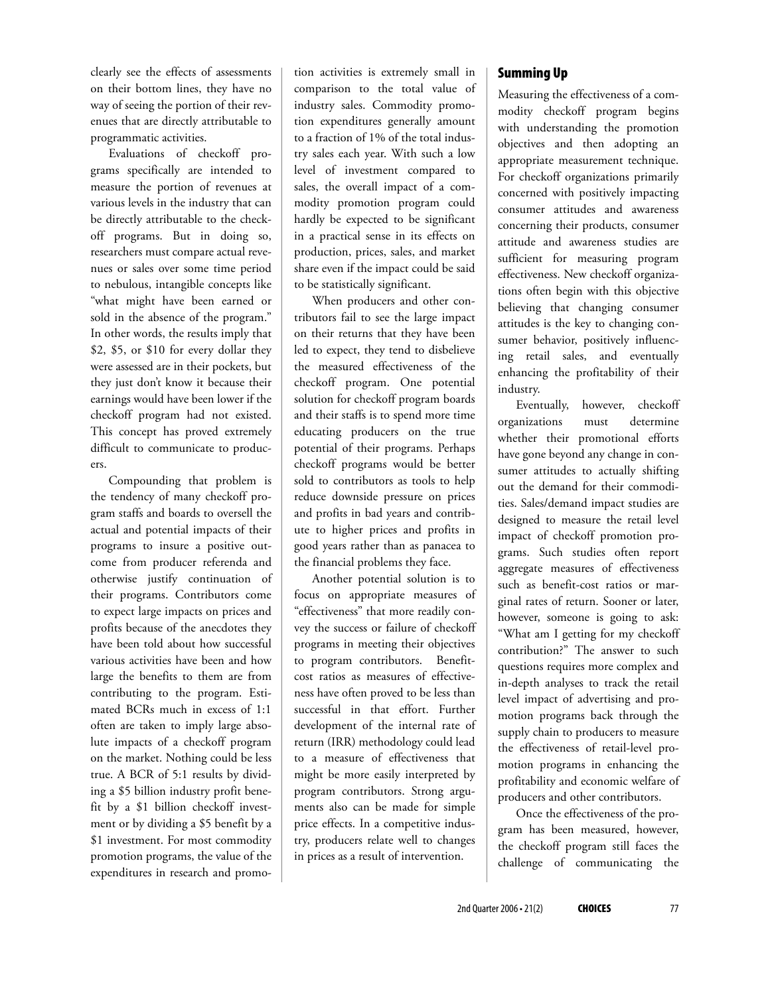clearly see the effects of assessments on their bottom lines, they have no way of seeing the portion of their revenues that are directly attributable to programmatic activities.

Evaluations of checkoff programs specifically are intended to measure the portion of revenues at various levels in the industry that can be directly attributable to the checkoff programs. But in doing so, researchers must compare actual revenues or sales over some time period to nebulous, intangible concepts like "what might have been earned or sold in the absence of the program." In other words, the results imply that \$2, \$5, or \$10 for every dollar they were assessed are in their pockets, but they just don't know it because their earnings would have been lower if the checkoff program had not existed. This concept has proved extremely difficult to communicate to producers.

Compounding that problem is the tendency of many checkoff program staffs and boards to oversell the actual and potential impacts of their programs to insure a positive outcome from producer referenda and otherwise justify continuation of their programs. Contributors come to expect large impacts on prices and profits because of the anecdotes they have been told about how successful various activities have been and how large the benefits to them are from contributing to the program. Estimated BCRs much in excess of 1:1 often are taken to imply large absolute impacts of a checkoff program on the market. Nothing could be less true. A BCR of 5:1 results by dividing a \$5 billion industry profit benefit by a \$1 billion checkoff investment or by dividing a \$5 benefit by a \$1 investment. For most commodity promotion programs, the value of the expenditures in research and promotion activities is extremely small in comparison to the total value of industry sales. Commodity promotion expenditures generally amount to a fraction of 1% of the total industry sales each year. With such a low level of investment compared to sales, the overall impact of a commodity promotion program could hardly be expected to be significant in a practical sense in its effects on production, prices, sales, and market share even if the impact could be said to be statistically significant.

When producers and other contributors fail to see the large impact on their returns that they have been led to expect, they tend to disbelieve the measured effectiveness of the checkoff program. One potential solution for checkoff program boards and their staffs is to spend more time educating producers on the true potential of their programs. Perhaps checkoff programs would be better sold to contributors as tools to help reduce downside pressure on prices and profits in bad years and contribute to higher prices and profits in good years rather than as panacea to the financial problems they face.

Another potential solution is to focus on appropriate measures of "effectiveness" that more readily convey the success or failure of checkoff programs in meeting their objectives to program contributors. Benefitcost ratios as measures of effectiveness have often proved to be less than successful in that effort. Further development of the internal rate of return (IRR) methodology could lead to a measure of effectiveness that might be more easily interpreted by program contributors. Strong arguments also can be made for simple price effects. In a competitive industry, producers relate well to changes in prices as a result of intervention.

## **Summing Up**

Measuring the effectiveness of a commodity checkoff program begins with understanding the promotion objectives and then adopting an appropriate measurement technique. For checkoff organizations primarily concerned with positively impacting consumer attitudes and awareness concerning their products, consumer attitude and awareness studies are sufficient for measuring program effectiveness. New checkoff organizations often begin with this objective believing that changing consumer attitudes is the key to changing consumer behavior, positively influencing retail sales, and eventually enhancing the profitability of their industry.

Eventually, however, checkoff organizations must determine whether their promotional efforts have gone beyond any change in consumer attitudes to actually shifting out the demand for their commodities. Sales/demand impact studies are designed to measure the retail level impact of checkoff promotion programs. Such studies often report aggregate measures of effectiveness such as benefit-cost ratios or marginal rates of return. Sooner or later, however, someone is going to ask: "What am I getting for my checkoff contribution?" The answer to such questions requires more complex and in-depth analyses to track the retail level impact of advertising and promotion programs back through the supply chain to producers to measure the effectiveness of retail-level promotion programs in enhancing the profitability and economic welfare of producers and other contributors.

Once the effectiveness of the program has been measured, however, the checkoff program still faces the challenge of communicating the